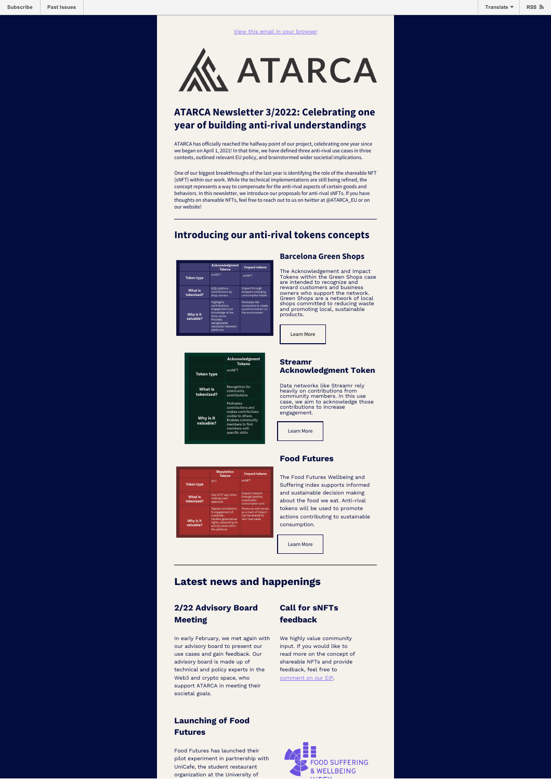**ATARCA** 

# **ATARCA Newsletter 3/2022: Celebrating one year of building anti-rival understandings**

ATARCA has officially reached the halfway point of our project, celebrating one year since we began on April 1, 2021! In that time, we have defined three anti-rival use cases in three contexts, outlined relevant EU policy, and brainstormed wider societial implications.

One of our biggest breakthroughs of the last year is identifying the role of the shareable NFT (sNFT) within our work. While the technical implementations are still being refined, the concept represents a way to compensate for the anti-rival aspects of certain goods and behaviors. In this newsletter, we introduce our proposals for anti-rival sNFTs. If you have thoughts on shareable NFTs, feel free to reach out to us on twitter at @ATARCA\_EU or on our website!

# **Introducing our anti-rival tokens concepts**

|                              | Acknowledgment<br><b>Tokens</b>                                                                                                                         | <b>Impact tokens</b>                                                            |
|------------------------------|---------------------------------------------------------------------------------------------------------------------------------------------------------|---------------------------------------------------------------------------------|
| <b>Token type</b>            | sntNET                                                                                                                                                  | sntNFT                                                                          |
| <b>What is</b><br>tokenized? | <b>B2B</b> platform<br>contributions by<br>shop owners                                                                                                  | Impact through<br>shoppers changing<br>consumption habits                       |
| Why is it<br>valuable?       | <b>Highlights</b><br>contributions.<br>engagement and<br>knowledge of the<br>shop owner.<br>Provides<br>recognizable<br>reputation between<br>platforms | Motivates the<br>consumers to create<br>a positive impact on<br>the environment |

**Token type** 

What is<br>tokenized:



# **Acknowledgment Token**

heavily on contributions from community members. In this use case, we aim to acknowledge those contributions to increase engagement.

#### **Food Futures**

The Food Futures Wellbeing and Suffering Index supports informed and sustainable decision making about the food we eat. Anti-rival tokens will be used to promote actions contributing to sustainable consumption.

[Learn More](https://atarca.eu/food-futures-index/)

# **Latest news and happenings**

#### **2/22 Advisory Board Meeting**

In early February, we met again with our advisory board to present our use cases and gain feedback. Our advisory board is made up of technical and policy experts in the Web3 and crypto space, who support ATARCA in meeting their societal goals.

#### **Launching of Food Futures**

Food Futures has launched their pilot experiment in partnership with UniCafe, the student restaurant organization at the University of

# **Call for sNFTs feedback**

We highly value community input. If you would like to read more on the concept of shareable NFTs and provide feedback, feel free to [comment on our EIP.](https://ethereum-magicians.org/t/shareable-non-transferrable-non-fungible-token-sntnft/8351)



#### **Barcelona Green Shops**

The Acknowledgement and Impact<br>Tokens within the Green Shops case<br>are intended to recognize and<br>reward customers and business<br>cowners who support the network.<br>Green Shops are a network of local<br>shops committed to reducing

**Streamr**

Data networks like Streamr rely

[Learn More](https://atarca.eu/streamr-acknowledgement-token/)



owled:<br>Token

Recognition for<br>community<br>contributions

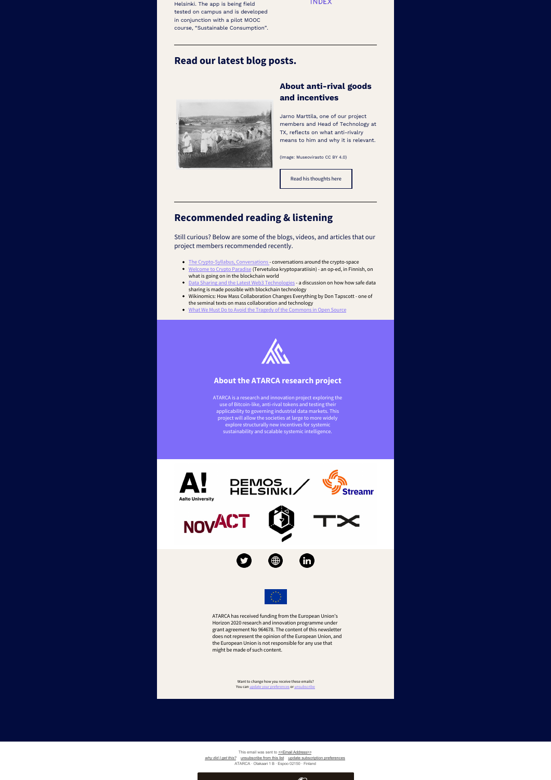Helsinki. The app is being field tested on campus and is developed in conjunction with a pilot MOOC course, "Sustainable Consumption".

#### **INDEX**

### **Read our latest blog posts.**



# **About anti-rival goods and incentives**

Jarno Marttila, one of our project members and Head of Technology at TX, reflects on what anti-rivalry means to him and why it is relevant.

(Image: Museovirasto CC BY 4.0)



# **Recommended reading & listening**

Still curious? Below are some of the blogs, videos, and articles that our project members recommended recently.

- [The Crypto-Syllabus, Conversations -](https://the-crypto-syllabus.com/conversations/) conversations around the crypto-space [Welcome to Crypto Paradise](https://www.hs.fi/visio/art-2000008615485.html) (Tervetuloa kryptoparatiisin) - an op-ed, in Finnish, on
- what is going on in the blockchain world  $\bullet$  [Data Sharing and the Latest Web3 Technologies](https://www.youtube.com/watch?v=ybfZUT0Fmb0) - a discussion on how how safe data
- sharing is made possible with blockchain technology Wikinomics: How Mass Collaboration Changes Everything by Don Tapscott one of the seminal texts on mass collaboration and technology<br>What We Must Do to Avoid the Tragedy of the Commons in Open Source
- What We Must Do to Avoid the Tragedy of the Com



#### **About the ATARCA research project**

ATARCA is a research and innovation project exploring the use of Bitcoin-like, anti-rival tokens and testing their<br>applicability to governing industrial data tamakets. This<br>project will allow the societies at large to more widely<br>explore structurally new incentives for systemic<br>s



This email was sent to << Email Address>> *[why did I get this?](https://atarca.us5.list-manage.com/about?u=4b12c4f3d1708ef0db1db7947&id=46dfcc1b1a&e=[UNIQID]&c=58db4b3155)* [unsubscribe from this list](https://atarca.us5.list-manage.com/unsubscribe?u=4b12c4f3d1708ef0db1db7947&id=46dfcc1b1a&e=[UNIQID]&c=58db4b3155) [update subscription preferences](https://atarca.us5.list-manage.com/profile?u=4b12c4f3d1708ef0db1db7947&id=46dfcc1b1a&e=[UNIQID]&c=58db4b3155) ATARCA ꞏ Otakaari 1 B ꞏ Espoo 02150 ꞏ Finland